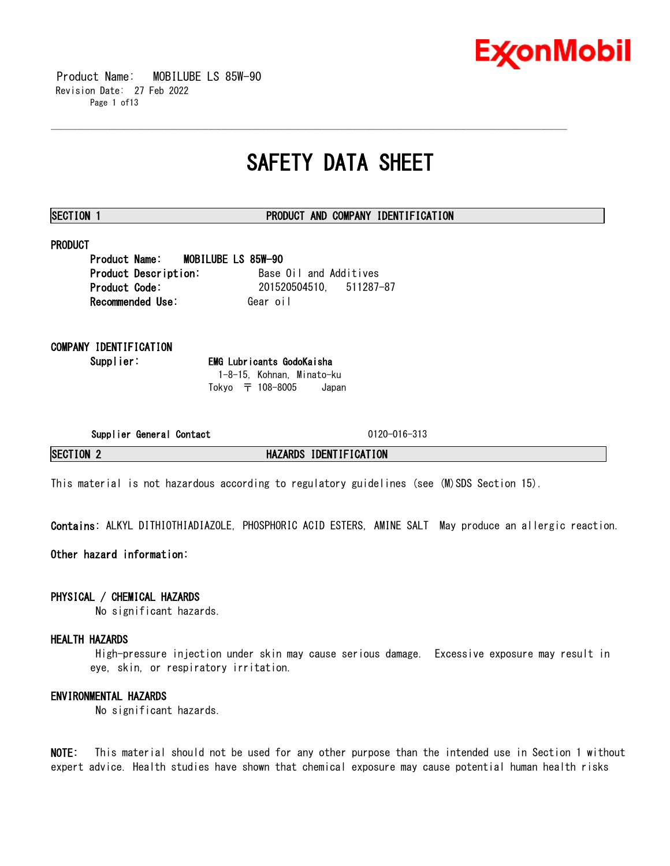

 Product Name: MOBILUBE LS 85W-90 Revision Date: 27 Feb 2022 Page 1 of13

# **SAFETY DATA SHEET**

\_\_\_\_\_\_\_\_\_\_\_\_\_\_\_\_\_\_\_\_\_\_\_\_\_\_\_\_\_\_\_\_\_\_\_\_\_\_\_\_\_\_\_\_\_\_\_\_\_\_\_\_\_\_\_\_\_\_\_\_\_\_\_\_\_\_\_\_\_\_\_\_\_\_\_\_\_\_\_\_\_\_\_\_\_\_\_\_\_\_\_\_\_\_\_\_\_\_\_\_\_\_\_\_\_\_\_\_\_\_\_\_\_\_\_\_\_\_

### **SECTION 1 PRODUCT AND COMPANY IDENTIFICATION**

## **PRODUCT**

**Product Name: MOBILUBE LS 85W-90 Product Description:** Base Oil and Additives **Product Code:** 201520504510, 511287-87 **Recommended Use: Gear oil** 

# **COMPANY IDENTIFICATION**

**Supplier: EMG Lubricants GodoKaisha** 1-8-15, Kohnan, Minato-ku Tokyo 〒 108-8005 Japan

**Supplier General Contact** 0120-016-313

**SECTION 2 HAZARDS IDENTIFICATION**

This material is not hazardous according to regulatory guidelines (see (M)SDS Section 15).

**Contains:** ALKYL DITHIOTHIADIAZOLE, PHOSPHORIC ACID ESTERS, AMINE SALT May produce an allergic reaction.

**Other hazard information:**

### **PHYSICAL / CHEMICAL HAZARDS**

No significant hazards.

### **HEALTH HAZARDS**

High-pressure injection under skin may cause serious damage. Excessive exposure may result in eye, skin, or respiratory irritation.

### **ENVIRONMENTAL HAZARDS**

No significant hazards.

**NOTE:** This material should not be used for any other purpose than the intended use in Section 1 without expert advice. Health studies have shown that chemical exposure may cause potential human health risks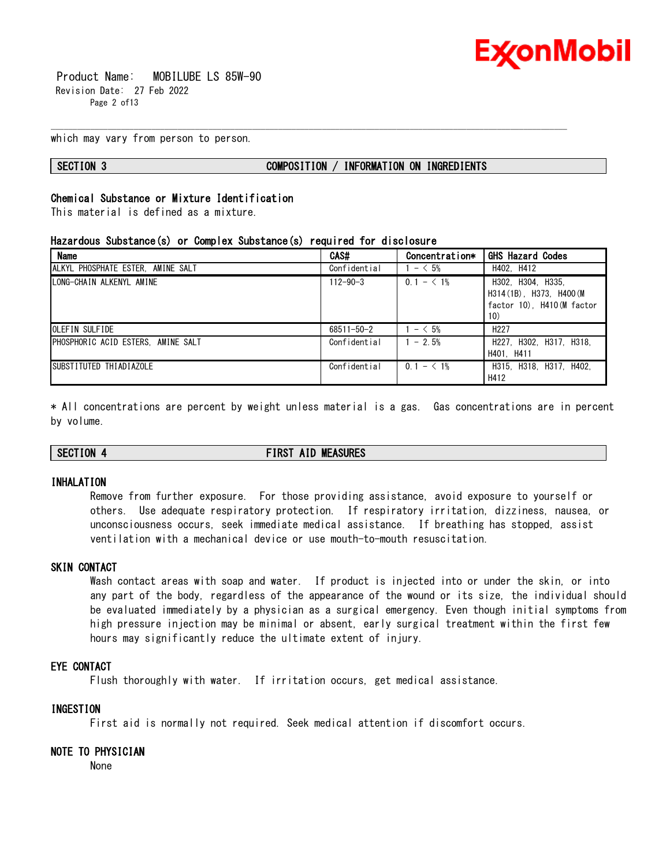

 Product Name: MOBILUBE LS 85W-90 Revision Date: 27 Feb 2022 Page 2 of 13

which may vary from person to person.

#### **SECTION 3 COMPOSITION / INFORMATION ON INGREDIENTS**

# **Chemical Substance or Mixture Identification**

This material is defined as a mixture.

#### **Hazardous Substance(s) or Complex Substance(s) required for disclosure**

| <b>Name</b>                        | CAS#             | Concentration* | <b>GHS Hazard Codes</b>                                                           |
|------------------------------------|------------------|----------------|-----------------------------------------------------------------------------------|
| ALKYL PHOSPHATE ESTER, AMINE SALT  | Confidential     | $- < 5\%$      | H402. H412                                                                        |
| LONG-CHAIN ALKENYL AMINE           | $112 - 90 - 3$   | $0.1 - 1\%$    | H302. H304. H335.<br>H314 (1B) H373 H400 (M)<br>factor 10). H410 (M factor<br>10) |
| OLEFIN SULFIDE                     | $68511 - 50 - 2$ | $1 - 5\%$      | H <sub>227</sub>                                                                  |
| PHOSPHORIC ACID ESTERS. AMINE SALT | Confidential     | $1 - 2.5%$     | H227, H302, H317, H318,<br>H401. H411                                             |
| SUBSTITUTED THIADIAZOLE            | Confidential     | $0.1 - 1\%$    | H315, H318, H317, H402,<br>H412                                                   |

\_\_\_\_\_\_\_\_\_\_\_\_\_\_\_\_\_\_\_\_\_\_\_\_\_\_\_\_\_\_\_\_\_\_\_\_\_\_\_\_\_\_\_\_\_\_\_\_\_\_\_\_\_\_\_\_\_\_\_\_\_\_\_\_\_\_\_\_\_\_\_\_\_\_\_\_\_\_\_\_\_\_\_\_\_\_\_\_\_\_\_\_\_\_\_\_\_\_\_\_\_\_\_\_\_\_\_\_\_\_\_\_\_\_\_\_\_\_

\* All concentrations are percent by weight unless material is a gas. Gas concentrations are in percent by volume.

# **SECTION 4 FIRST AID MEASURES**

#### **INHALATION**

Remove from further exposure. For those providing assistance, avoid exposure to yourself or others. Use adequate respiratory protection. If respiratory irritation, dizziness, nausea, or unconsciousness occurs, seek immediate medical assistance. If breathing has stopped, assist ventilation with a mechanical device or use mouth-to-mouth resuscitation.

### **SKIN CONTACT**

Wash contact areas with soap and water. If product is injected into or under the skin, or into any part of the body, regardless of the appearance of the wound or its size, the individual should be evaluated immediately by a physician as a surgical emergency. Even though initial symptoms from high pressure injection may be minimal or absent, early surgical treatment within the first few hours may significantly reduce the ultimate extent of injury.

#### **EYE CONTACT**

Flush thoroughly with water. If irritation occurs, get medical assistance.

#### **INGESTION**

First aid is normally not required. Seek medical attention if discomfort occurs.

### **NOTE TO PHYSICIAN**

None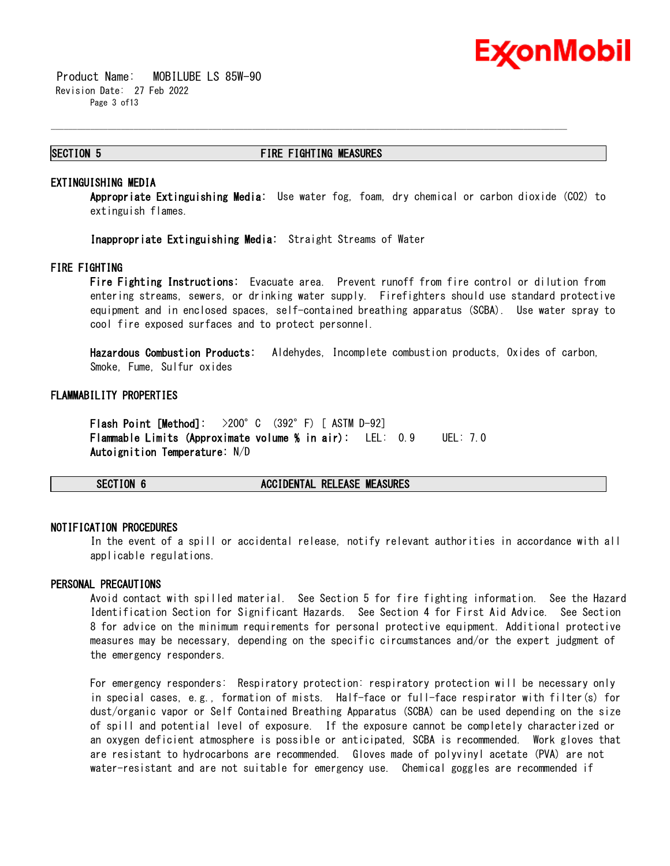

 Product Name: MOBILUBE LS 85W-90 Revision Date: 27 Feb 2022 Page 3 of13

#### **SECTION 5 FIRE FIGHTING MEASURES**

\_\_\_\_\_\_\_\_\_\_\_\_\_\_\_\_\_\_\_\_\_\_\_\_\_\_\_\_\_\_\_\_\_\_\_\_\_\_\_\_\_\_\_\_\_\_\_\_\_\_\_\_\_\_\_\_\_\_\_\_\_\_\_\_\_\_\_\_\_\_\_\_\_\_\_\_\_\_\_\_\_\_\_\_\_\_\_\_\_\_\_\_\_\_\_\_\_\_\_\_\_\_\_\_\_\_\_\_\_\_\_\_\_\_\_\_\_\_

#### **EXTINGUISHING MEDIA**

**Appropriate Extinguishing Media:** Use water fog, foam, dry chemical or carbon dioxide (CO2) to extinguish flames.

**Inappropriate Extinguishing Media:** Straight Streams of Water

#### **FIRE FIGHTING**

**Fire Fighting Instructions:** Evacuate area. Prevent runoff from fire control or dilution from entering streams, sewers, or drinking water supply. Firefighters should use standard protective equipment and in enclosed spaces, self-contained breathing apparatus (SCBA). Use water spray to cool fire exposed surfaces and to protect personnel.

**Hazardous Combustion Products:** Aldehydes, Incomplete combustion products, Oxides of carbon, Smoke, Fume, Sulfur oxides

#### **FLAMMABILITY PROPERTIES**

**Flash Point [Method]:** >200°C (392°F) [ ASTM D-92] **Flammable Limits (Approximate volume % in air):** LEL: 0.9 UEL: 7.0 **Autoignition Temperature:** N/D

**SECTION 6 ACCIDENTAL RELEASE MEASURES**

#### **NOTIFICATION PROCEDURES**

In the event of a spill or accidental release, notify relevant authorities in accordance with all applicable regulations.

#### **PERSONAL PRECAUTIONS**

Avoid contact with spilled material. See Section 5 for fire fighting information. See the Hazard Identification Section for Significant Hazards. See Section 4 for First Aid Advice. See Section 8 for advice on the minimum requirements for personal protective equipment. Additional protective measures may be necessary, depending on the specific circumstances and/or the expert judgment of the emergency responders.

For emergency responders: Respiratory protection: respiratory protection will be necessary only in special cases, e.g., formation of mists. Half-face or full-face respirator with filter(s) for dust/organic vapor or Self Contained Breathing Apparatus (SCBA) can be used depending on the size of spill and potential level of exposure. If the exposure cannot be completely characterized or an oxygen deficient atmosphere is possible or anticipated, SCBA is recommended. Work gloves that are resistant to hydrocarbons are recommended. Gloves made of polyvinyl acetate (PVA) are not water-resistant and are not suitable for emergency use. Chemical goggles are recommended if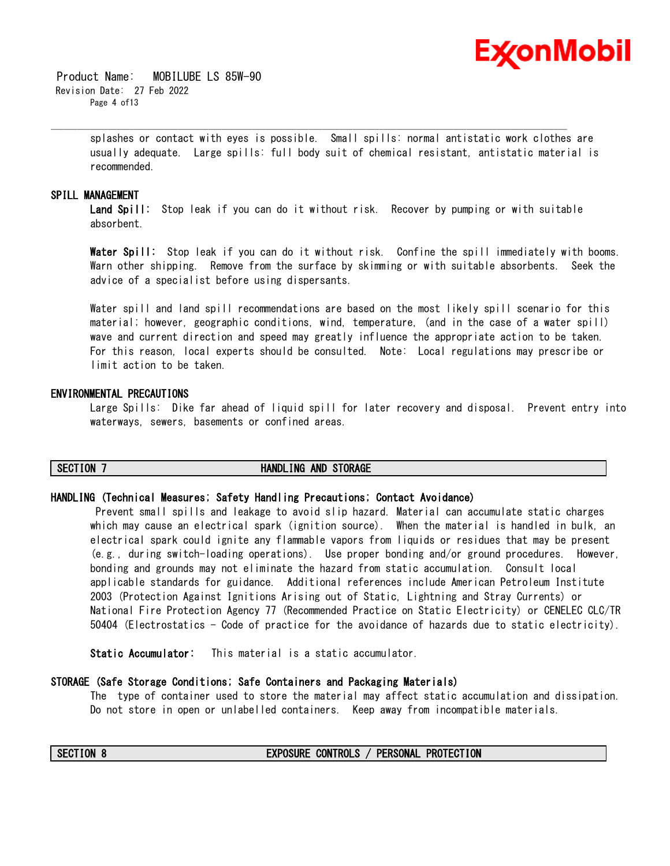

 Product Name: MOBILUBE LS 85W-90 Revision Date: 27 Feb 2022 Page 4 of13

> splashes or contact with eyes is possible. Small spills: normal antistatic work clothes are usually adequate. Large spills: full body suit of chemical resistant, antistatic material is recommended.

\_\_\_\_\_\_\_\_\_\_\_\_\_\_\_\_\_\_\_\_\_\_\_\_\_\_\_\_\_\_\_\_\_\_\_\_\_\_\_\_\_\_\_\_\_\_\_\_\_\_\_\_\_\_\_\_\_\_\_\_\_\_\_\_\_\_\_\_\_\_\_\_\_\_\_\_\_\_\_\_\_\_\_\_\_\_\_\_\_\_\_\_\_\_\_\_\_\_\_\_\_\_\_\_\_\_\_\_\_\_\_\_\_\_\_\_\_\_

#### **SPILL MANAGEMENT**

**Land Spill:** Stop leak if you can do it without risk. Recover by pumping or with suitable absorbent.

**Water Spill:** Stop leak if you can do it without risk. Confine the spill immediately with booms. Warn other shipping. Remove from the surface by skimming or with suitable absorbents. Seek the advice of a specialist before using dispersants.

Water spill and land spill recommendations are based on the most likely spill scenario for this material; however, geographic conditions, wind, temperature, (and in the case of a water spill) wave and current direction and speed may greatly influence the appropriate action to be taken. For this reason, local experts should be consulted. Note: Local regulations may prescribe or limit action to be taken.

#### **ENVIRONMENTAL PRECAUTIONS**

Large Spills: Dike far ahead of liquid spill for later recovery and disposal. Prevent entry into waterways, sewers, basements or confined areas.

#### **SECTION 7 HANDLING AND STORAGE**

#### **HANDLING (Technical Measures; Safety Handling Precautions; Contact Avoidance)**

Prevent small spills and leakage to avoid slip hazard. Material can accumulate static charges which may cause an electrical spark (ignition source). When the material is handled in bulk, an electrical spark could ignite any flammable vapors from liquids or residues that may be present (e.g., during switch-loading operations). Use proper bonding and/or ground procedures. However, bonding and grounds may not eliminate the hazard from static accumulation. Consult local applicable standards for guidance. Additional references include American Petroleum Institute 2003 (Protection Against Ignitions Arising out of Static, Lightning and Stray Currents) or National Fire Protection Agency 77 (Recommended Practice on Static Electricity) or CENELEC CLC/TR 50404 (Electrostatics - Code of practice for the avoidance of hazards due to static electricity).

**Static Accumulator:** This material is a static accumulator.

#### **STORAGE (Safe Storage Conditions; Safe Containers and Packaging Materials)**

The type of container used to store the material may affect static accumulation and dissipation. Do not store in open or unlabelled containers. Keep away from incompatible materials.

#### **SECTION 8 EXPOSURE CONTROLS / PERSONAL PROTECTION**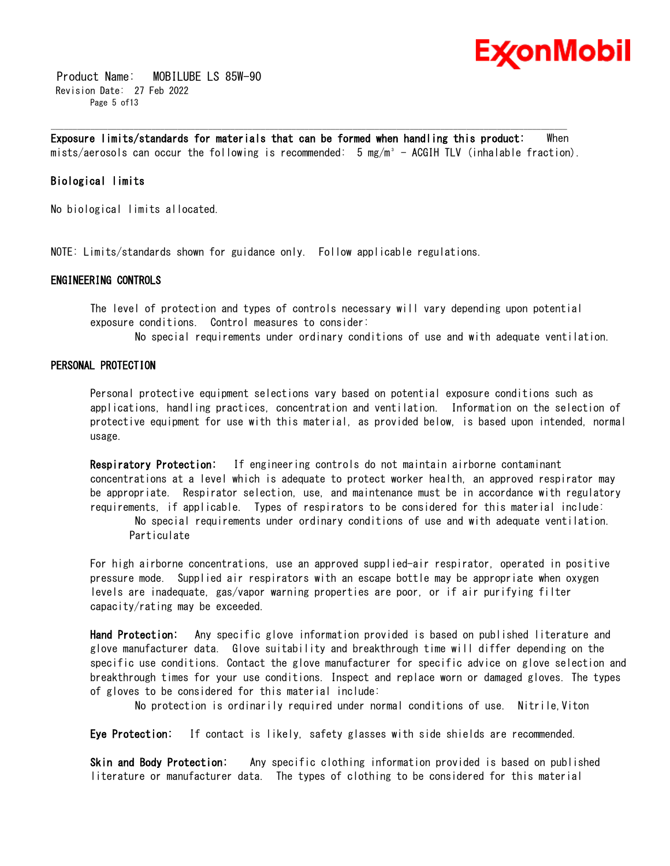

 Product Name: MOBILUBE LS 85W-90 Revision Date: 27 Feb 2022 Page 5 of 13

**Exposure limits/standards for materials that can be formed when handling this product:** When mists/aerosols can occur the following is recommended: 5 mg/m<sup>3</sup> - ACGIH TLV (inhalable fraction).

\_\_\_\_\_\_\_\_\_\_\_\_\_\_\_\_\_\_\_\_\_\_\_\_\_\_\_\_\_\_\_\_\_\_\_\_\_\_\_\_\_\_\_\_\_\_\_\_\_\_\_\_\_\_\_\_\_\_\_\_\_\_\_\_\_\_\_\_\_\_\_\_\_\_\_\_\_\_\_\_\_\_\_\_\_\_\_\_\_\_\_\_\_\_\_\_\_\_\_\_\_\_\_\_\_\_\_\_\_\_\_\_\_\_\_\_\_\_

### **Biological limits**

No biological limits allocated.

NOTE: Limits/standards shown for guidance only. Follow applicable regulations.

#### **ENGINEERING CONTROLS**

The level of protection and types of controls necessary will vary depending upon potential exposure conditions. Control measures to consider:

No special requirements under ordinary conditions of use and with adequate ventilation.

#### **PERSONAL PROTECTION**

Personal protective equipment selections vary based on potential exposure conditions such as applications, handling practices, concentration and ventilation. Information on the selection of protective equipment for use with this material, as provided below, is based upon intended, normal usage.

**Respiratory Protection:** If engineering controls do not maintain airborne contaminant concentrations at a level which is adequate to protect worker health, an approved respirator may be appropriate. Respirator selection, use, and maintenance must be in accordance with regulatory requirements, if applicable. Types of respirators to be considered for this material include: No special requirements under ordinary conditions of use and with adequate ventilation. Particulate

For high airborne concentrations, use an approved supplied-air respirator, operated in positive pressure mode. Supplied air respirators with an escape bottle may be appropriate when oxygen levels are inadequate, gas/vapor warning properties are poor, or if air purifying filter capacity/rating may be exceeded.

**Hand Protection:** Any specific glove information provided is based on published literature and glove manufacturer data. Glove suitability and breakthrough time will differ depending on the specific use conditions. Contact the glove manufacturer for specific advice on glove selection and breakthrough times for your use conditions. Inspect and replace worn or damaged gloves. The types of gloves to be considered for this material include:

No protection is ordinarily required under normal conditions of use. Nitrile,Viton

**Eye Protection:** If contact is likely, safety glasses with side shields are recommended.

**Skin and Body Protection:** Any specific clothing information provided is based on published literature or manufacturer data. The types of clothing to be considered for this material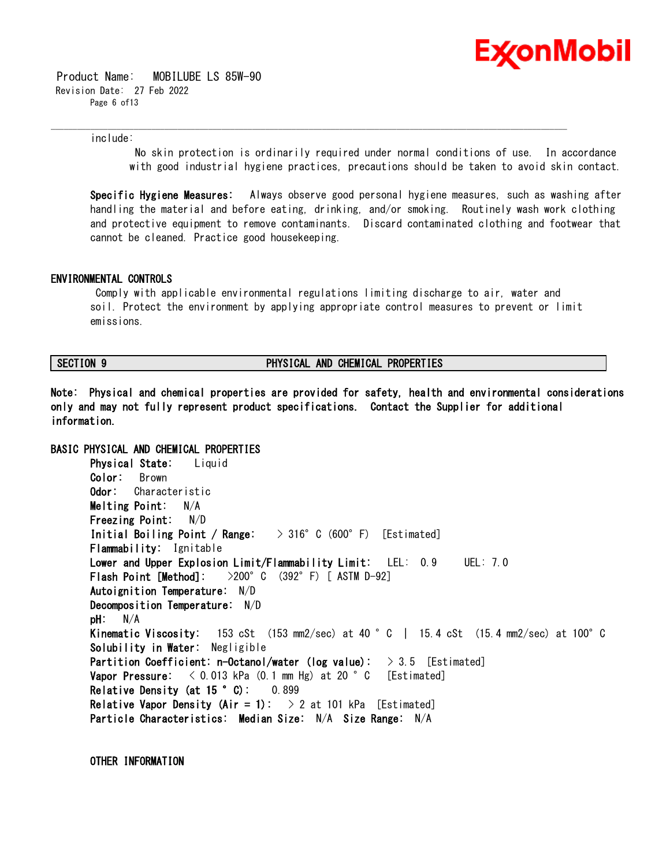

 Product Name: MOBILUBE LS 85W-90 Revision Date: 27 Feb 2022 Page 6 of 13

include:

No skin protection is ordinarily required under normal conditions of use. In accordance with good industrial hygiene practices, precautions should be taken to avoid skin contact.

**Specific Hygiene Measures:** Always observe good personal hygiene measures, such as washing after handling the material and before eating, drinking, and/or smoking. Routinely wash work clothing and protective equipment to remove contaminants. Discard contaminated clothing and footwear that cannot be cleaned. Practice good housekeeping.

#### **ENVIRONMENTAL CONTROLS**

Comply with applicable environmental regulations limiting discharge to air, water and soil. Protect the environment by applying appropriate control measures to prevent or limit emissions.

\_\_\_\_\_\_\_\_\_\_\_\_\_\_\_\_\_\_\_\_\_\_\_\_\_\_\_\_\_\_\_\_\_\_\_\_\_\_\_\_\_\_\_\_\_\_\_\_\_\_\_\_\_\_\_\_\_\_\_\_\_\_\_\_\_\_\_\_\_\_\_\_\_\_\_\_\_\_\_\_\_\_\_\_\_\_\_\_\_\_\_\_\_\_\_\_\_\_\_\_\_\_\_\_\_\_\_\_\_\_\_\_\_\_\_\_\_\_

#### **SECTION 9 PHYSICAL AND CHEMICAL PROPERTIES**

**Note: Physical and chemical properties are provided for safety, health and environmental considerations only and may not fully represent product specifications. Contact the Supplier for additional information.**

# **BASIC PHYSICAL AND CHEMICAL PROPERTIES Physical State:** Liquid **Color:** Brown **Odor:** Characteristic **Melting Point:** N/A **Freezing Point:** N/D **Initial Boiling Point / Range:** > 316°C (600°F) [Estimated] **Flammability:** Ignitable **Lower and Upper Explosion Limit/Flammability Limit:** LEL: 0.9 UEL: 7.0 **Flash Point [Method]:** >200°C (392°F) [ ASTM D-92] **Autoignition Temperature:** N/D **Decomposition Temperature:** N/D **pH:** N/A **Kinematic Viscosity:** 153 cSt (153 mm2/sec) at 40 °C | 15.4 cSt (15.4 mm2/sec) at 100°C **Solubility in Water:** Negligible **Partition Coefficient: n-Octanol/water (log value):** > 3.5 [Estimated] **Vapor Pressure:**  $\langle 0.013 \text{ kPa} (0.1 \text{ mm Hg}) \text{ at } 20 \degree \text{ C}$  [Estimated] **Relative Density (at 15 °C):** 0.899 **Relative Vapor Density (Air = 1):**  $\rightarrow$  2 at 101 kPa [Estimated] **Particle Characteristics: Median Size:** N/A **Size Range:** N/A

**OTHER INFORMATION**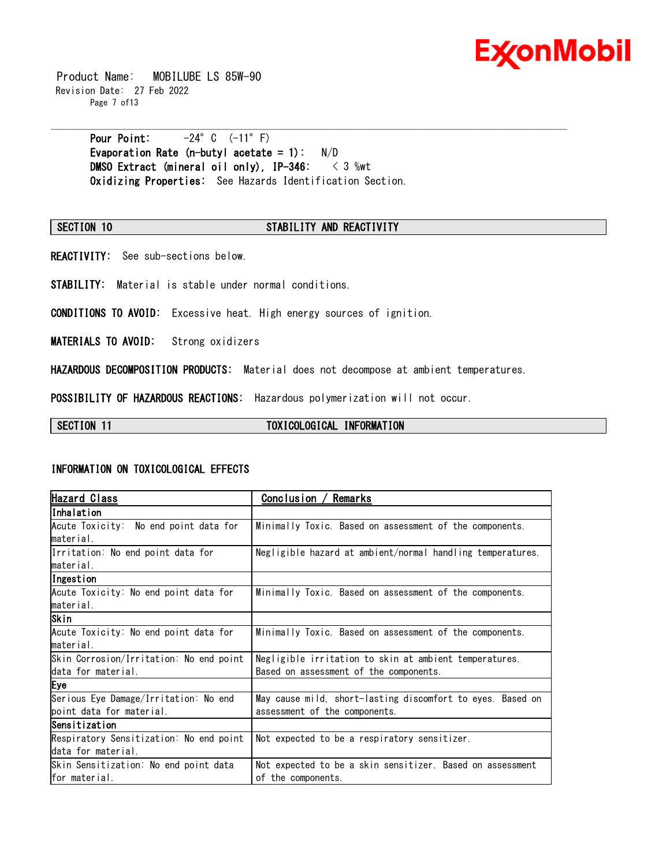

 Product Name: MOBILUBE LS 85W-90 Revision Date: 27 Feb 2022 Page 7 of13

> **Pour Point:** -24°C (-11°F) **Evaporation Rate (n-butyl acetate = 1):** N/D **DMSO Extract (mineral oil only), IP-346:** < 3 %wt **Oxidizing Properties:** See Hazards Identification Section.

#### **SECTION 10 STABILITY AND REACTIVITY**

\_\_\_\_\_\_\_\_\_\_\_\_\_\_\_\_\_\_\_\_\_\_\_\_\_\_\_\_\_\_\_\_\_\_\_\_\_\_\_\_\_\_\_\_\_\_\_\_\_\_\_\_\_\_\_\_\_\_\_\_\_\_\_\_\_\_\_\_\_\_\_\_\_\_\_\_\_\_\_\_\_\_\_\_\_\_\_\_\_\_\_\_\_\_\_\_\_\_\_\_\_\_\_\_\_\_\_\_\_\_\_\_\_\_\_\_\_\_

**REACTIVITY:** See sub-sections below.

**STABILITY:** Material is stable under normal conditions.

**CONDITIONS TO AVOID:** Excessive heat. High energy sources of ignition.

**MATERIALS TO AVOID:** Strong oxidizers

**HAZARDOUS DECOMPOSITION PRODUCTS:** Material does not decompose at ambient temperatures.

**POSSIBILITY OF HAZARDOUS REACTIONS:** Hazardous polymerization will not occur.

SECTION 11 **TOXICOLOGICAL INFORMATION** 

### **INFORMATION ON TOXICOLOGICAL EFFECTS**

| <b>Hazard Class</b>                     | Remarks<br>Conclusion                                      |  |  |
|-----------------------------------------|------------------------------------------------------------|--|--|
| lInhalation                             |                                                            |  |  |
| Acute Toxicity: No end point data for   | Minimally Toxic. Based on assessment of the components.    |  |  |
| material.                               |                                                            |  |  |
| Irritation: No end point data for       | Negligible hazard at ambient/normal handling temperatures. |  |  |
| material.                               |                                                            |  |  |
| Ingestion                               |                                                            |  |  |
| Acute Toxicity: No end point data for   | Minimally Toxic. Based on assessment of the components.    |  |  |
| material.                               |                                                            |  |  |
| Skin                                    |                                                            |  |  |
| Acute Toxicity: No end point data for   | Minimally Toxic. Based on assessment of the components.    |  |  |
| material.                               |                                                            |  |  |
| Skin Corrosion/Irritation: No end point | Negligible irritation to skin at ambient temperatures.     |  |  |
| data for material.                      | Based on assessment of the components.                     |  |  |
| Eye                                     |                                                            |  |  |
| Serious Eye Damage/Irritation: No end   | May cause mild, short-lasting discomfort to eyes. Based on |  |  |
| boint data for material.                | assessment of the components.                              |  |  |
| Sensitization                           |                                                            |  |  |
| Respiratory Sensitization: No end point | Not expected to be a respiratory sensitizer.               |  |  |
| data for material.                      |                                                            |  |  |
| Skin Sensitization: No end point data   | Not expected to be a skin sensitizer. Based on assessment  |  |  |
| for material.                           | of the components.                                         |  |  |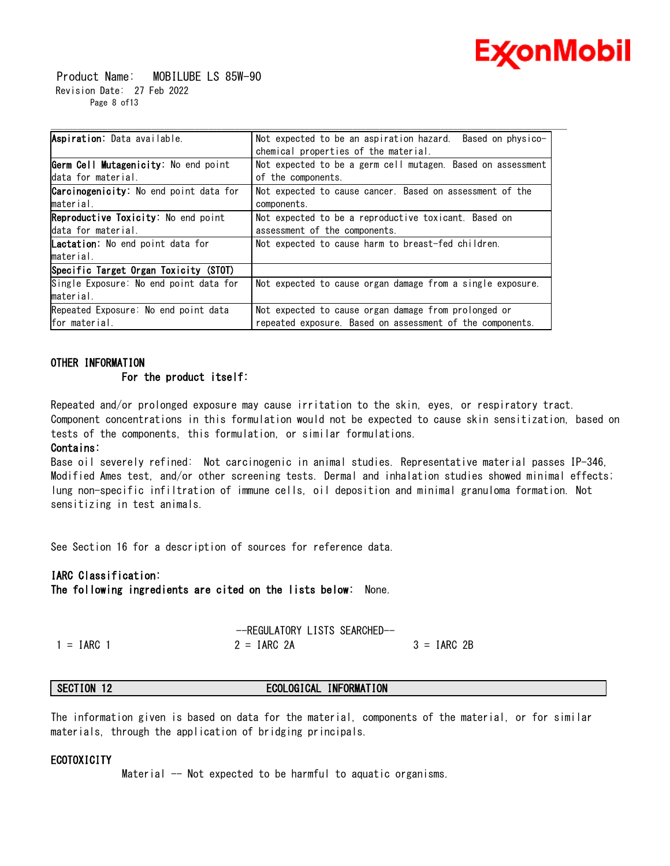

 Product Name: MOBILUBE LS 85W-90 Revision Date: 27 Feb 2022 Page 8 of13

| Aspiration: Data available.                   | Not expected to be an aspiration hazard.<br>Based on physico- |  |  |
|-----------------------------------------------|---------------------------------------------------------------|--|--|
|                                               | chemical properties of the material.                          |  |  |
| Germ Cell Mutagenicity: No end point          | Not expected to be a germ cell mutagen. Based on assessment   |  |  |
| data for material.                            | of the components.                                            |  |  |
| <b>Carcinogenicity:</b> No end point data for | Not expected to cause cancer. Based on assessment of the      |  |  |
| material.                                     | components.                                                   |  |  |
| <b>Reproductive Toxicity:</b> No end point    | Not expected to be a reproductive toxicant. Based on          |  |  |
| data for material.                            | assessment of the components.                                 |  |  |
| <b>Lactation</b> . No end point data for      | Not expected to cause harm to breast-fed children.            |  |  |
| material.                                     |                                                               |  |  |
| Specific Target Organ Toxicity (STOT)         |                                                               |  |  |
| Single Exposure: No end point data for        | Not expected to cause organ damage from a single exposure.    |  |  |
| material.                                     |                                                               |  |  |
| Repeated Exposure: No end point data          | Not expected to cause organ damage from prolonged or          |  |  |
| for material.                                 | repeated exposure. Based on assessment of the components.     |  |  |

\_\_\_\_\_\_\_\_\_\_\_\_\_\_\_\_\_\_\_\_\_\_\_\_\_\_\_\_\_\_\_\_\_\_\_\_\_\_\_\_\_\_\_\_\_\_\_\_\_\_\_\_\_\_\_\_\_\_\_\_\_\_\_\_\_\_\_\_\_\_\_\_\_\_\_\_\_\_\_\_\_\_\_\_\_\_\_\_\_\_\_\_\_\_\_\_\_\_\_\_\_\_\_\_\_\_\_\_\_\_\_\_\_\_\_\_\_\_

# **OTHER INFORMATION For the product itself:**

Repeated and/or prolonged exposure may cause irritation to the skin, eyes, or respiratory tract. Component concentrations in this formulation would not be expected to cause skin sensitization, based on tests of the components, this formulation, or similar formulations.

#### **Contains:**

Base oil severely refined: Not carcinogenic in animal studies. Representative material passes IP-346, Modified Ames test, and/or other screening tests. Dermal and inhalation studies showed minimal effects; lung non-specific infiltration of immune cells, oil deposition and minimal granuloma formation. Not sensitizing in test animals.

See Section 16 for a description of sources for reference data.

### **IARC Classification:**

**The following ingredients are cited on the lists below:** None.

$$
--\text{REGULATIONY LISTS SEARCHED--}
$$
  
1 = IARC 1  
2 = IARC 2A  
3 = IARC 2B

# **SECTION 12 ECOLOGICAL INFORMATION**

The information given is based on data for the material, components of the material, or for similar materials, through the application of bridging principals.

### **ECOTOXICITY**

Material -- Not expected to be harmful to aquatic organisms.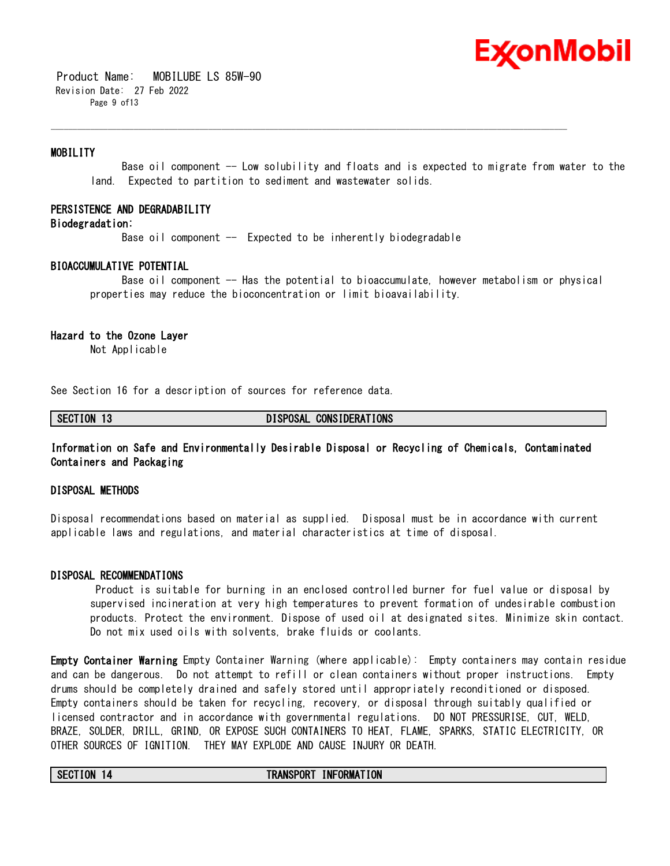# Ex⁄onMobil

 Product Name: MOBILUBE LS 85W-90 Revision Date: 27 Feb 2022 Page 9 of 13

### **MOBILITY**

 Base oil component -- Low solubility and floats and is expected to migrate from water to the land. Expected to partition to sediment and wastewater solids.

#### **PERSISTENCE AND DEGRADABILITY**

### **Biodegradation:**

Base oil component  $-$  Expected to be inherently biodegradable

\_\_\_\_\_\_\_\_\_\_\_\_\_\_\_\_\_\_\_\_\_\_\_\_\_\_\_\_\_\_\_\_\_\_\_\_\_\_\_\_\_\_\_\_\_\_\_\_\_\_\_\_\_\_\_\_\_\_\_\_\_\_\_\_\_\_\_\_\_\_\_\_\_\_\_\_\_\_\_\_\_\_\_\_\_\_\_\_\_\_\_\_\_\_\_\_\_\_\_\_\_\_\_\_\_\_\_\_\_\_\_\_\_\_\_\_\_\_

#### **BIOACCUMULATIVE POTENTIAL**

 Base oil component -- Has the potential to bioaccumulate, however metabolism or physical properties may reduce the bioconcentration or limit bioavailability.

#### **Hazard to the Ozone Layer**

Not Applicable

See Section 16 for a description of sources for reference data.

**SECTION 13 DISPOSAL CONSIDERATIONS**

### **Information on Safe and Environmentally Desirable Disposal or Recycling of Chemicals, Contaminated Containers and Packaging**

#### **DISPOSAL METHODS**

Disposal recommendations based on material as supplied. Disposal must be in accordance with current applicable laws and regulations, and material characteristics at time of disposal.

#### **DISPOSAL RECOMMENDATIONS**

Product is suitable for burning in an enclosed controlled burner for fuel value or disposal by supervised incineration at very high temperatures to prevent formation of undesirable combustion products. Protect the environment. Dispose of used oil at designated sites. Minimize skin contact. Do not mix used oils with solvents, brake fluids or coolants.

**Empty Container Warning** Empty Container Warning (where applicable): Empty containers may contain residue and can be dangerous. Do not attempt to refill or clean containers without proper instructions. Empty drums should be completely drained and safely stored until appropriately reconditioned or disposed. Empty containers should be taken for recycling, recovery, or disposal through suitably qualified or licensed contractor and in accordance with governmental regulations. DO NOT PRESSURISE, CUT, WELD, BRAZE, SOLDER, DRILL, GRIND, OR EXPOSE SUCH CONTAINERS TO HEAT, FLAME, SPARKS, STATIC ELECTRICITY, OR OTHER SOURCES OF IGNITION. THEY MAY EXPLODE AND CAUSE INJURY OR DEATH.

### **SECTION 14 TRANSPORT INFORMATION**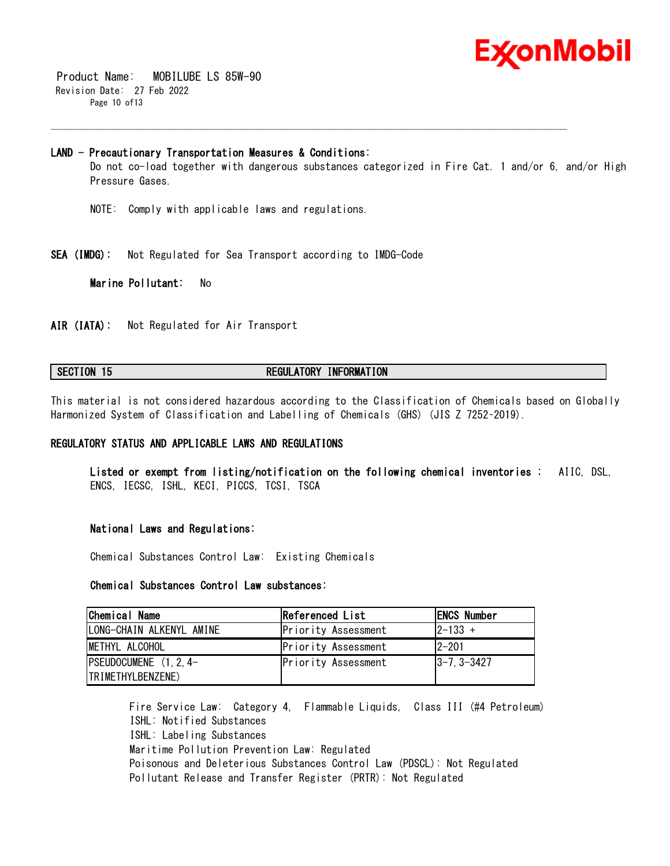

 Product Name: MOBILUBE LS 85W-90 Revision Date: 27 Feb 2022 Page 10 of13

#### **LAND - Precautionary Transportation Measures & Conditions:**

Do not co-load together with dangerous substances categorized in Fire Cat. 1 and/or 6, and/or High Pressure Gases.

\_\_\_\_\_\_\_\_\_\_\_\_\_\_\_\_\_\_\_\_\_\_\_\_\_\_\_\_\_\_\_\_\_\_\_\_\_\_\_\_\_\_\_\_\_\_\_\_\_\_\_\_\_\_\_\_\_\_\_\_\_\_\_\_\_\_\_\_\_\_\_\_\_\_\_\_\_\_\_\_\_\_\_\_\_\_\_\_\_\_\_\_\_\_\_\_\_\_\_\_\_\_\_\_\_\_\_\_\_\_\_\_\_\_\_\_\_\_

- NOTE: Comply with applicable laws and regulations.
- **SEA (IMDG):** Not Regulated for Sea Transport according to IMDG-Code

**Marine Pollutant:** No

**AIR (IATA):** Not Regulated for Air Transport

### **SECTION 15 REGULATORY INFORMATION**

This material is not considered hazardous according to the Classification of Chemicals based on Globally Harmonized System of Classification and Labelling of Chemicals (GHS) (JIS Z 7252–2019).

### **REGULATORY STATUS AND APPLICABLE LAWS AND REGULATIONS**

**Listed or exempt from listing/notification on the following chemical inventories :** AIIC, DSL, ENCS, IECSC, ISHL, KECI, PICCS, TCSI, TSCA

#### **National Laws and Regulations:**

Chemical Substances Control Law: Existing Chemicals

### **Chemical Substances Control Law substances:**

| Chemical Name             | Referenced List     | <b>ENCS Number</b> |
|---------------------------|---------------------|--------------------|
| LONG-CHAIN ALKENYL AMINE  | Priority Assessment | $ 2 - 133 +$       |
| IMETHYL ALCOHOL           | Priority Assessment | $12 - 201$         |
| $ PSEUDOCUMENE (1, 2, 4-$ | Priority Assessment | $ 3 - 7, 3 - 3427$ |
| <b>ITRIMETHYLBENZENE</b>  |                     |                    |

Fire Service Law: Category 4, Flammable Liquids, Class III (#4 Petroleum) ISHL: Notified Substances ISHL: Labeling Substances Maritime Pollution Prevention Law: Regulated Poisonous and Deleterious Substances Control Law (PDSCL): Not Regulated Pollutant Release and Transfer Register (PRTR): Not Regulated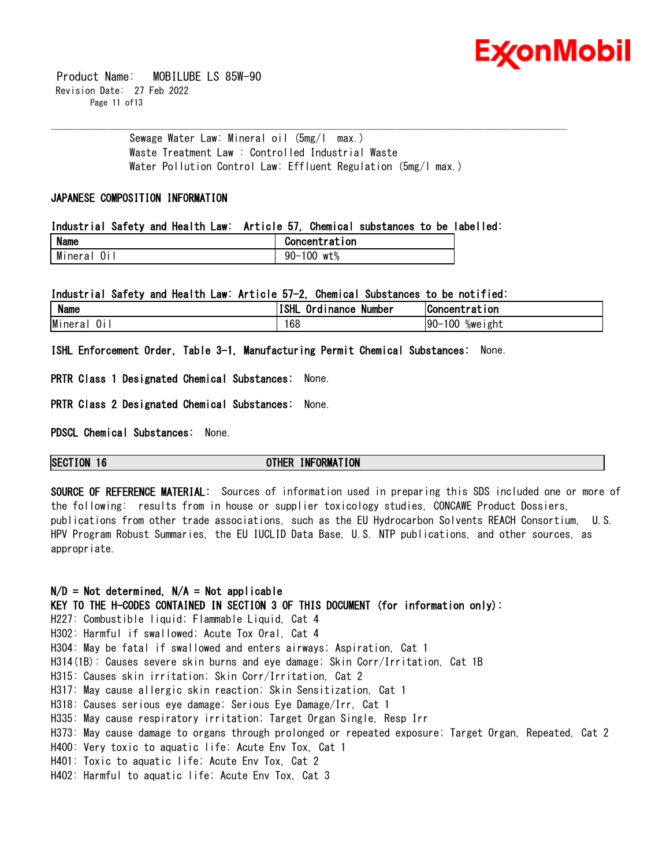

 Product Name: MOBILUBE LS 85W-90 Revision Date: 27 Feb 2022 Page 11 of 13

> Sewage Water Law: Mineral oil (5mg/l max.) Waste Treatment Law : Controlled Industrial Waste Water Pollution Control Law: Effluent Regulation (5mg/l max.)

\_\_\_\_\_\_\_\_\_\_\_\_\_\_\_\_\_\_\_\_\_\_\_\_\_\_\_\_\_\_\_\_\_\_\_\_\_\_\_\_\_\_\_\_\_\_\_\_\_\_\_\_\_\_\_\_\_\_\_\_\_\_\_\_\_\_\_\_\_\_\_\_\_\_\_\_\_\_\_\_\_\_\_\_\_\_\_\_\_\_\_\_\_\_\_\_\_\_\_\_\_\_\_\_\_\_\_\_\_\_\_\_\_\_\_\_\_\_

### **JAPANESE COMPOSITION INFORMATION**

#### **Industrial Safety and Health Law: Article 57, Chemical substances to be labelled:**

| <b>Name</b> | Concentration    |
|-------------|------------------|
| <br>Minera  | 00<br>wt%<br>90– |

#### **Industrial Safety and Health Law: Article 57-2, Chemical Substances to be notified:**

| <b>Name</b>   | . .<br>ISHL<br><b>Inance</b><br>Number<br>Ord i | <b>Concentration</b>     |
|---------------|-------------------------------------------------|--------------------------|
| Mineral<br>ÜΙ | 168                                             | 100<br>$90 -$<br>%weıght |

**ISHL Enforcement Order, Table 3-1, Manufacturing Permit Chemical Substances:** None.

**PRTR Class 1 Designated Chemical Substances:** None.

**PRTR Class 2 Designated Chemical Substances:** None.

**PDSCL Chemical Substances:** None.

### **SECTION 16 OTHER INFORMATION**

**SOURCE OF REFERENCE MATERIAL:** Sources of information used in preparing this SDS included one or more of the following: results from in house or supplier toxicology studies, CONCAWE Product Dossiers, publications from other trade associations, such as the EU Hydrocarbon Solvents REACH Consortium, U.S. HPV Program Robust Summaries, the EU IUCLID Data Base, U.S. NTP publications, and other sources, as appropriate.

### **N/D = Not determined, N/A = Not applicable**

**KEY TO THE H-CODES CONTAINED IN SECTION 3 OF THIS DOCUMENT (for information only):**

H227: Combustible liquid; Flammable Liquid, Cat 4

H302: Harmful if swallowed; Acute Tox Oral, Cat 4

- H304: May be fatal if swallowed and enters airways; Aspiration, Cat 1
- H314(1B): Causes severe skin burns and eye damage; Skin Corr/Irritation, Cat 1B
- H315: Causes skin irritation; Skin Corr/Irritation, Cat 2
- H317: May cause allergic skin reaction; Skin Sensitization, Cat 1
- H318: Causes serious eye damage; Serious Eye Damage/Irr, Cat 1
- H335: May cause respiratory irritation; Target Organ Single, Resp Irr
- H373: May cause damage to organs through prolonged or repeated exposure; Target Organ, Repeated, Cat 2
- H400: Very toxic to aquatic life; Acute Env Tox, Cat 1
- H401: Toxic to aquatic life; Acute Env Tox, Cat 2
- H402: Harmful to aquatic life; Acute Env Tox, Cat 3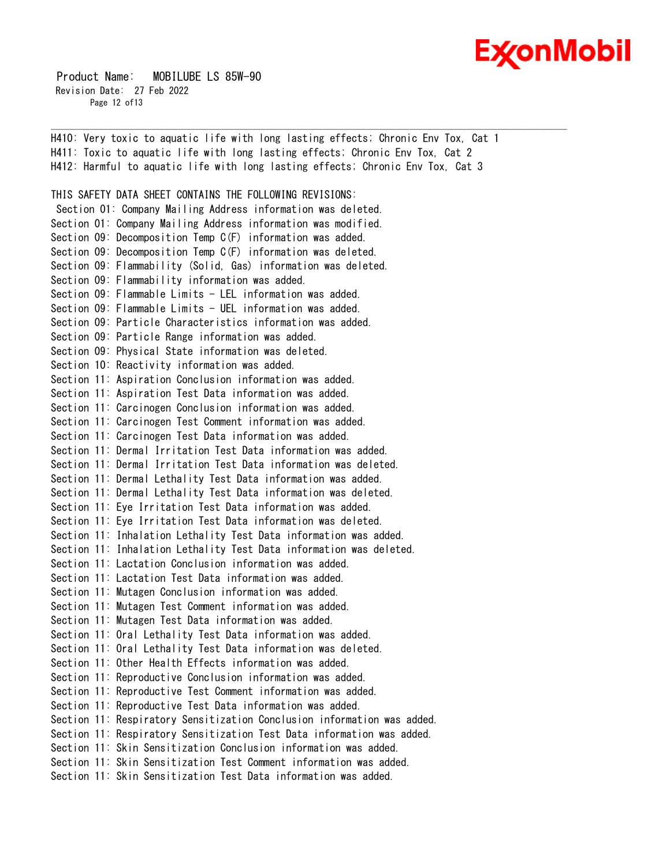

 Product Name: MOBILUBE LS 85W-90 Revision Date: 27 Feb 2022 Page 12 of 13

H410: Very toxic to aquatic life with long lasting effects; Chronic Env Tox, Cat 1 H411: Toxic to aquatic life with long lasting effects; Chronic Env Tox, Cat 2 H412: Harmful to aquatic life with long lasting effects; Chronic Env Tox, Cat 3 THIS SAFETY DATA SHEET CONTAINS THE FOLLOWING REVISIONS: Section 01: Company Mailing Address information was deleted. Section 01: Company Mailing Address information was modified. Section 09: Decomposition Temp C(F) information was added. Section 09: Decomposition Temp C(F) information was deleted. Section 09: Flammability (Solid, Gas) information was deleted. Section 09: Flammability information was added. Section 09: Flammable Limits - LEL information was added. Section 09: Flammable Limits - UEL information was added. Section 09: Particle Characteristics information was added. Section 09: Particle Range information was added. Section 09: Physical State information was deleted. Section 10: Reactivity information was added. Section 11: Aspiration Conclusion information was added. Section 11: Aspiration Test Data information was added. Section 11: Carcinogen Conclusion information was added. Section 11: Carcinogen Test Comment information was added. Section 11: Carcinogen Test Data information was added. Section 11: Dermal Irritation Test Data information was added. Section 11: Dermal Irritation Test Data information was deleted. Section 11: Dermal Lethality Test Data information was added. Section 11: Dermal Lethality Test Data information was deleted. Section 11: Eye Irritation Test Data information was added. Section 11: Eye Irritation Test Data information was deleted. Section 11: Inhalation Lethality Test Data information was added. Section 11: Inhalation Lethality Test Data information was deleted. Section 11: Lactation Conclusion information was added. Section 11: Lactation Test Data information was added. Section 11: Mutagen Conclusion information was added. Section 11: Mutagen Test Comment information was added. Section 11: Mutagen Test Data information was added. Section 11: Oral Lethality Test Data information was added. Section 11: Oral Lethality Test Data information was deleted. Section 11: Other Health Effects information was added. Section 11: Reproductive Conclusion information was added. Section 11: Reproductive Test Comment information was added. Section 11: Reproductive Test Data information was added. Section 11: Respiratory Sensitization Conclusion information was added. Section 11: Respiratory Sensitization Test Data information was added. Section 11: Skin Sensitization Conclusion information was added. Section 11: Skin Sensitization Test Comment information was added. Section 11: Skin Sensitization Test Data information was added.

\_\_\_\_\_\_\_\_\_\_\_\_\_\_\_\_\_\_\_\_\_\_\_\_\_\_\_\_\_\_\_\_\_\_\_\_\_\_\_\_\_\_\_\_\_\_\_\_\_\_\_\_\_\_\_\_\_\_\_\_\_\_\_\_\_\_\_\_\_\_\_\_\_\_\_\_\_\_\_\_\_\_\_\_\_\_\_\_\_\_\_\_\_\_\_\_\_\_\_\_\_\_\_\_\_\_\_\_\_\_\_\_\_\_\_\_\_\_